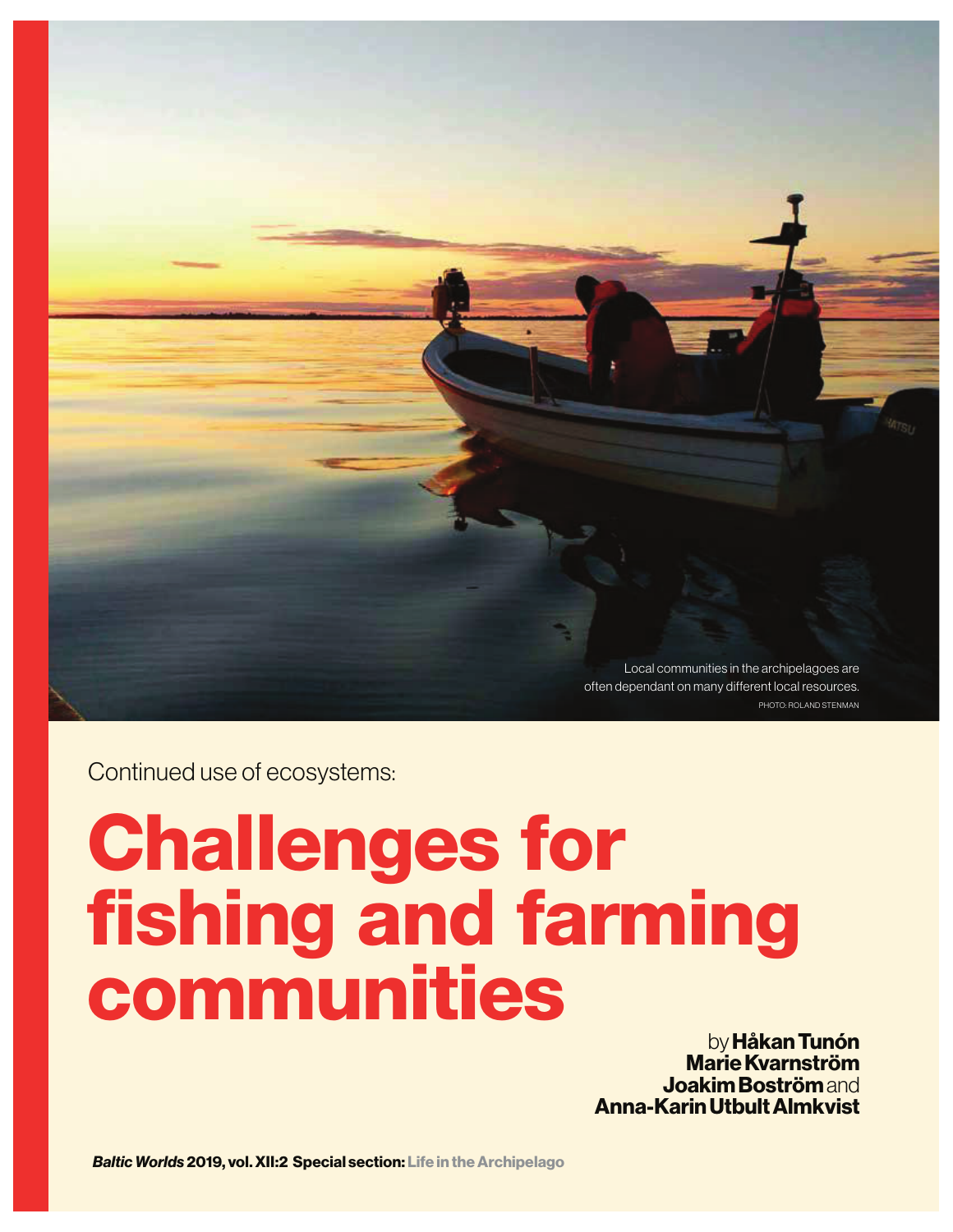

Continued use of ecosystems:

# **Challenges for fishing and farming communities**

by **Håkan Tunón Marie Kvarnström Joakim Boström** and **Anna-Karin Utbult Almkvist**

*Baltic Worlds* **2019, vol. XII:2 Special section: Life in the Archipelago**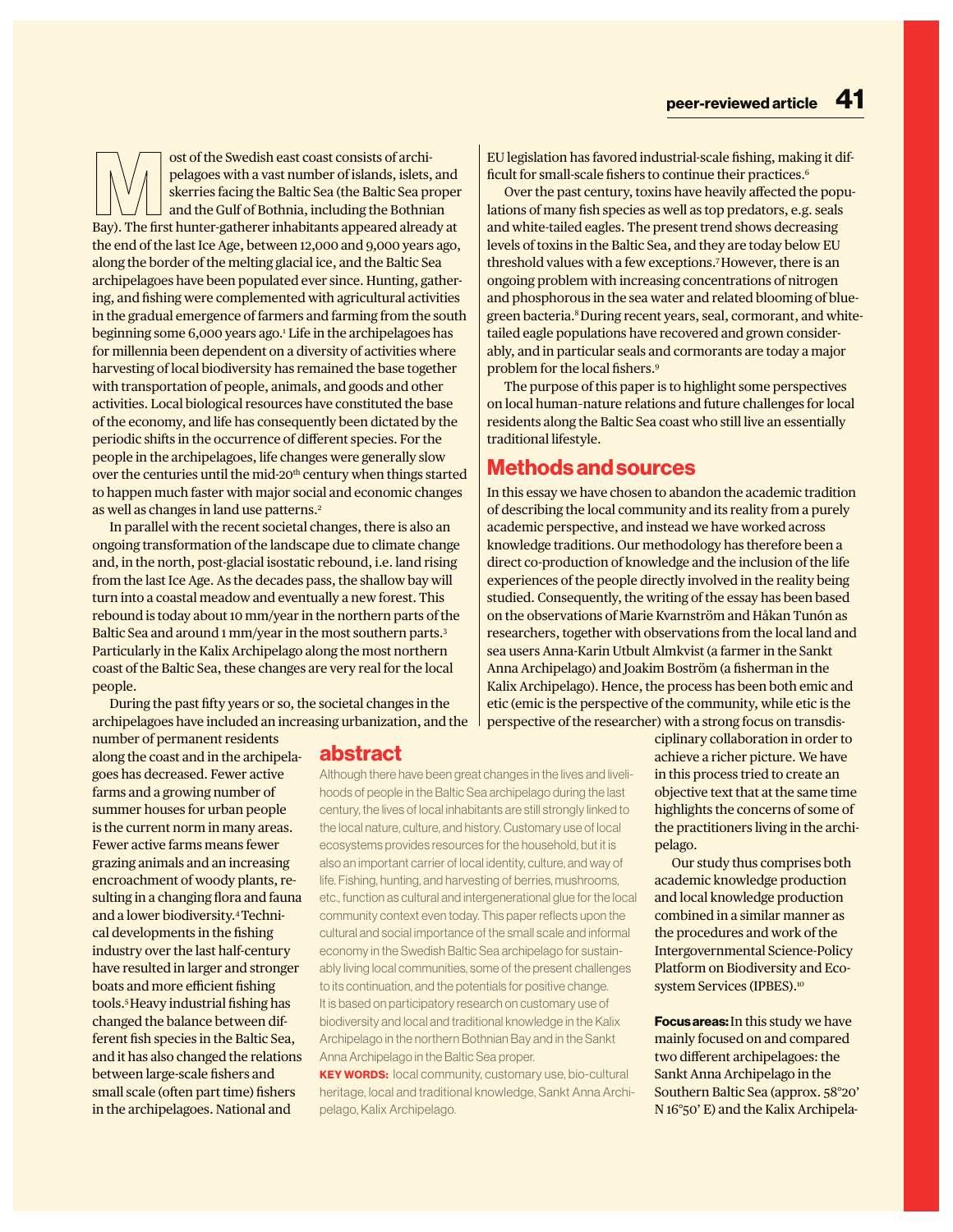ost of the Swedish east coast consists of archipelagoes with a vast number of islands, islets, and skerries facing the Baltic Sea (the Baltic Sea proper and the Gulf of Bothnia, including the Bothnian Bay). The first hunter-gatherer inhabitants appeared already at the end of the last Ice Age, between 12,000 and 9,000 years ago, along the border of the melting glacial ice, and the Baltic Sea archipelagoes have been populated ever since. Hunting, gathering, and fishing were complemented with agricultural activities in the gradual emergence of farmers and farming from the south beginning some 6,000 years ago.1 Life in the archipelagoes has for millennia been dependent on a diversity of activities where harvesting of local biodiversity has remained the base together with transportation of people, animals, and goods and other activities. Local biological resources have constituted the base of the economy, and life has consequently been dictated by the periodic shifts in the occurrence of different species. For the people in the archipelagoes, life changes were generally slow over the centuries until the mid-20<sup>th</sup> century when things started to happen much faster with major social and economic changes as well as changes in land use patterns.<sup>2</sup>

In parallel with the recent societal changes, there is also an ongoing transformation of the landscape due to climate change and, in the north, post-glacial isostatic rebound, i.e. land rising from the last Ice Age. As the decades pass, the shallow bay will turn into a coastal meadow and eventually a new forest. This rebound is today about 10 mm/year in the northern parts of the Baltic Sea and around 1 mm/year in the most southern parts.<sup>3</sup> Particularly in the Kalix Archipelago along the most northern coast of the Baltic Sea, these changes are very real for the local people.

During the past fifty years or so, the societal changes in the archipelagoes have included an increasing urbanization, and the

number of permanent residents along the coast and in the archipelagoes has decreased. Fewer active farms and a growing number of summer houses for urban people is the current norm in many areas. Fewer active farms means fewer grazing animals and an increasing encroachment of woody plants, resulting in a changing flora and fauna and a lower biodiversity.4 Technical developments in the fishing industry over the last half-century have resulted in larger and stronger boats and more efficient fishing tools.5 Heavy industrial fishing has changed the balance between different fish species in the Baltic Sea, and it has also changed the relations between large-scale fishers and small scale (often part time) fishers in the archipelagoes. National and

# **abstract**

Although there have been great changes in the lives and livelihoods of people in the Baltic Sea archipelago during the last century, the lives of local inhabitants are still strongly linked to the local nature, culture, and history. Customary use of local ecosystems provides resources for the household, but it is also an important carrier of local identity, culture, and way of life. Fishing, hunting, and harvesting of berries, mushrooms, etc., function as cultural and intergenerational glue for the local community context even today. This paper reflects upon the cultural and social importance of the small scale and informal economy in the Swedish Baltic Sea archipelago for sustainably living local communities, some of the present challenges to its continuation, and the potentials for positive change. It is based on participatory research on customary use of biodiversity and local and traditional knowledge in the Kalix Archipelago in the northern Bothnian Bay and in the Sankt Anna Archipelago in the Baltic Sea proper.

**KEY WORDS:** local community, customary use, bio-cultural heritage, local and traditional knowledge, Sankt Anna Archipelago, Kalix Archipelago.

EU legislation has favored industrial-scale fishing, making it difficult for small-scale fishers to continue their practices.6

Over the past century, toxins have heavily affected the populations of many fish species as well as top predators, e.g. seals and white-tailed eagles. The present trend shows decreasing levels of toxins in the Baltic Sea, and they are today below EU threshold values with a few exceptions.7 However, there is an ongoing problem with increasing concentrations of nitrogen and phosphorous in the sea water and related blooming of bluegreen bacteria.<sup>8</sup> During recent years, seal, cormorant, and whitetailed eagle populations have recovered and grown considerably, and in particular seals and cormorants are today a major problem for the local fishers.9

The purpose of this paper is to highlight some perspectives on local human–nature relations and future challenges for local residents along the Baltic Sea coast who still live an essentially traditional lifestyle.

## **Methods and sources**

In this essay we have chosen to abandon the academic tradition of describing the local community and its reality from a purely academic perspective, and instead we have worked across knowledge traditions. Our methodology has therefore been a direct co-production of knowledge and the inclusion of the life experiences of the people directly involved in the reality being studied. Consequently, the writing of the essay has been based on the observations of Marie Kvarnström and Håkan Tunón as researchers, together with observations from the local land and sea users Anna-Karin Utbult Almkvist (a farmer in the Sankt Anna Archipelago) and Joakim Boström (a fisherman in the Kalix Archipelago). Hence, the process has been both emic and etic (emic is the perspective of the community, while etic is the perspective of the researcher) with a strong focus on transdis-

> ciplinary collaboration in order to achieve a richer picture. We have in this process tried to create an objective text that at the same time highlights the concerns of some of the practitioners living in the archipelago.

Our study thus comprises both academic knowledge production and local knowledge production combined in a similar manner as the procedures and work of the Intergovernmental Science-Policy Platform on Biodiversity and Ecosystem Services (IPBES).<sup>10</sup>

**Focus areas:** In this study we have mainly focused on and compared two different archipelagoes: the Sankt Anna Archipelago in the Southern Baltic Sea (approx. 58°20' N 16°50' E) and the Kalix Archipela-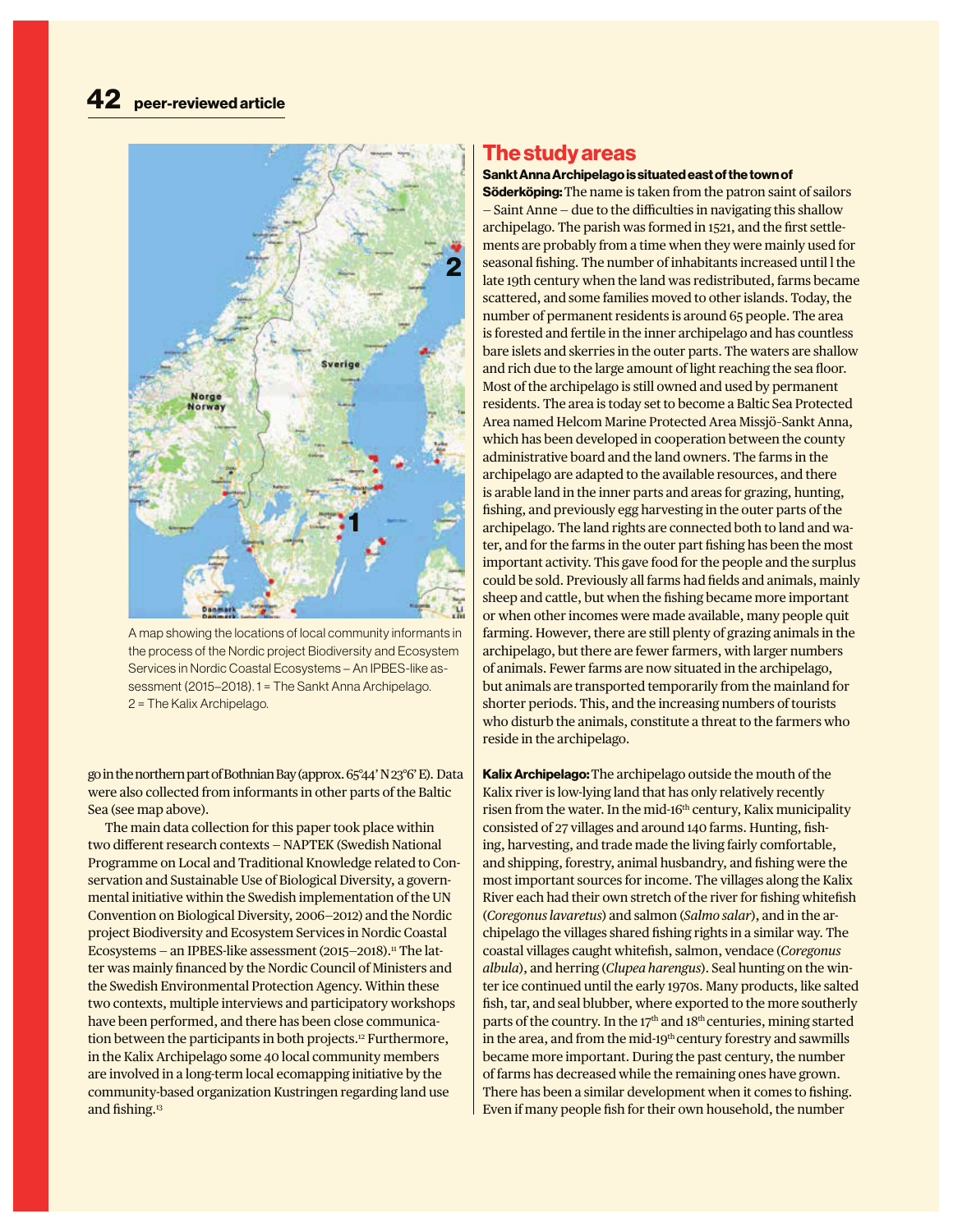

A map showing the locations of local community informants in the process of the Nordic project Biodiversity and Ecosystem Services in Nordic Coastal Ecosystems – An IPBES-like assessment (2015–2018). 1 = The Sankt Anna Archipelago. 2 = The Kalix Archipelago.

go in the northern part of Bothnian Bay (approx. 65°44' N 23°6' E). Data were also collected from informants in other parts of the Baltic Sea (see map above).

The main data collection for this paper took place within two different research contexts — NAPTEK (Swedish National Programme on Local and Traditional Knowledge related to Conservation and Sustainable Use of Biological Diversity, a governmental initiative within the Swedish implementation of the UN Convention on Biological Diversity, 2006—2012) and the Nordic project Biodiversity and Ecosystem Services in Nordic Coastal Ecosystems - an IPBES-like assessment (2015-2018).<sup>11</sup> The latter was mainly financed by the Nordic Council of Ministers and the Swedish Environmental Protection Agency. Within these two contexts, multiple interviews and participatory workshops have been performed, and there has been close communication between the participants in both projects.<sup>12</sup> Furthermore, in the Kalix Archipelago some 40 local community members are involved in a long-term local ecomapping initiative by the community-based organization Kustringen regarding land use and fishing.13

## **The study areas**

**Sankt Anna Archipelago is situated east of the town of** 

**Söderköping:** The name is taken from the patron saint of sailors — Saint Anne — due to the difficulties in navigating this shallow archipelago. The parish was formed in 1521, and the first settlements are probably from a time when they were mainly used for seasonal fishing. The number of inhabitants increased until l the late 19th century when the land was redistributed, farms became scattered, and some families moved to other islands. Today, the number of permanent residents is around 65 people. The area is forested and fertile in the inner archipelago and has countless bare islets and skerries in the outer parts. The waters are shallow and rich due to the large amount of light reaching the sea floor. Most of the archipelago is still owned and used by permanent residents. The area is today set to become a Baltic Sea Protected Area named Helcom Marine Protected Area Missjö–Sankt Anna, which has been developed in cooperation between the county administrative board and the land owners. The farms in the archipelago are adapted to the available resources, and there is arable land in the inner parts and areas for grazing, hunting, fishing, and previously egg harvesting in the outer parts of the archipelago. The land rights are connected both to land and water, and for the farms in the outer part fishing has been the most important activity. This gave food for the people and the surplus could be sold. Previously all farms had fields and animals, mainly sheep and cattle, but when the fishing became more important or when other incomes were made available, many people quit farming. However, there are still plenty of grazing animals in the archipelago, but there are fewer farmers, with larger numbers of animals. Fewer farms are now situated in the archipelago, but animals are transported temporarily from the mainland for shorter periods. This, and the increasing numbers of tourists who disturb the animals, constitute a threat to the farmers who reside in the archipelago.

**Kalix Archipelago:** The archipelago outside the mouth of the Kalix river is low-lying land that has only relatively recently risen from the water. In the mid-16<sup>th</sup> century, Kalix municipality consisted of 27 villages and around 140 farms. Hunting, fishing, harvesting, and trade made the living fairly comfortable, and shipping, forestry, animal husbandry, and fishing were the most important sources for income. The villages along the Kalix River each had their own stretch of the river for fishing whitefish (*Coregonus lavaretus*) and salmon (*Salmo salar*), and in the archipelago the villages shared fishing rights in a similar way. The coastal villages caught whitefish, salmon, vendace (*Coregonus albula*), and herring (*Clupea harengus*). Seal hunting on the winter ice continued until the early 1970s. Many products, like salted fish, tar, and seal blubber, where exported to the more southerly parts of the country. In the 17<sup>th</sup> and 18<sup>th</sup> centuries, mining started in the area, and from the mid-19<sup>th</sup> century forestry and sawmills became more important. During the past century, the number of farms has decreased while the remaining ones have grown. There has been a similar development when it comes to fishing. Even if many people fish for their own household, the number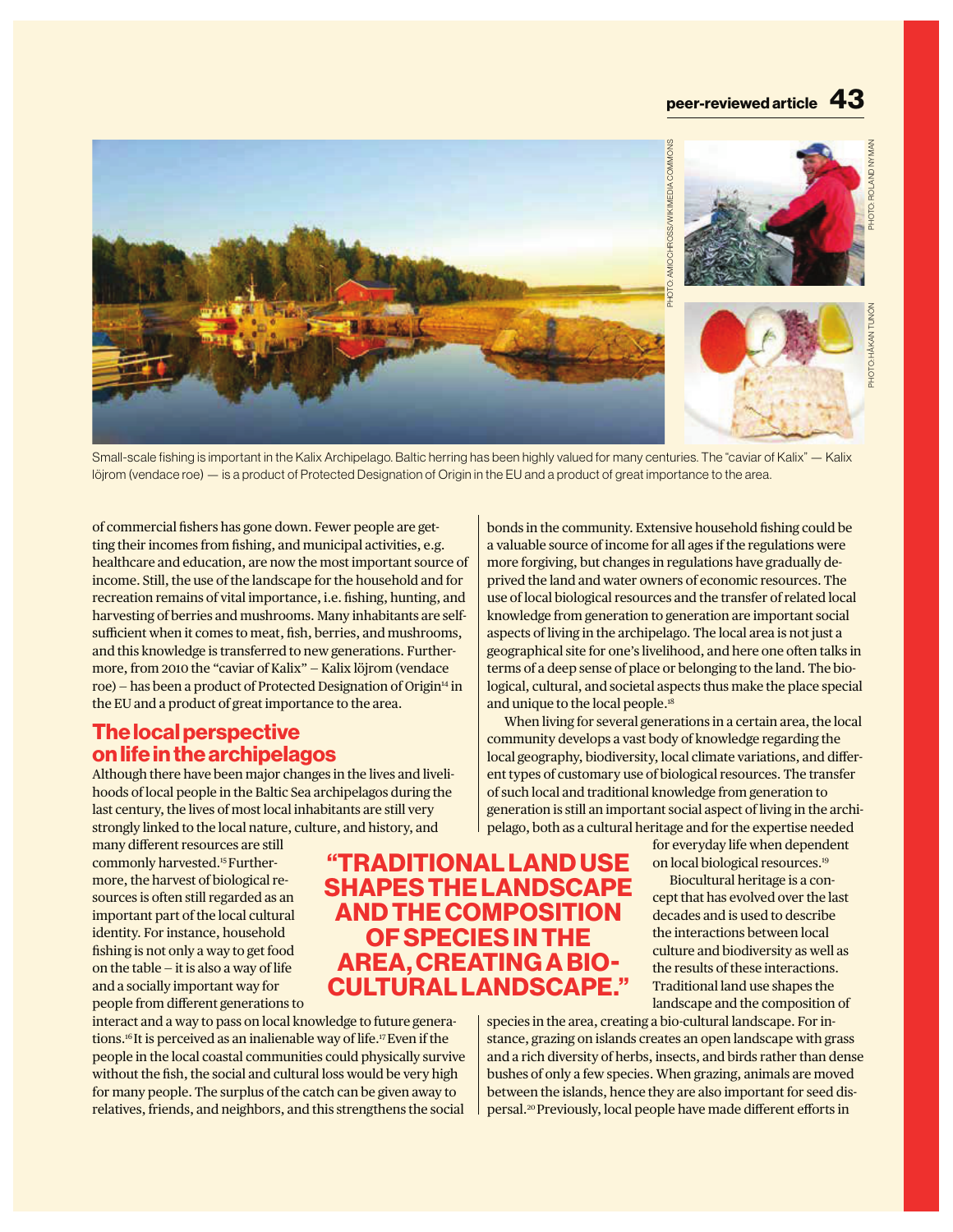

Small-scale fishing is important in the Kalix Archipelago. Baltic herring has been highly valued for many centuries. The "caviar of Kalix" — Kalix löjrom (vendace roe) — is a product of Protected Designation of Origin in the EU and a product of great importance to the area.

of commercial fishers has gone down. Fewer people are getting their incomes from fishing, and municipal activities, e.g. healthcare and education, are now the most important source of income. Still, the use of the landscape for the household and for recreation remains of vital importance, i.e. fishing, hunting, and harvesting of berries and mushrooms. Many inhabitants are selfsufficient when it comes to meat, fish, berries, and mushrooms, and this knowledge is transferred to new generations. Furthermore, from 2010 the "caviar of Kalix" — Kalix löjrom (vendace roe) – has been a product of Protected Designation of Origin<sup>14</sup> in the EU and a product of great importance to the area.

# **The local perspective on life in the archipelagos**

Although there have been major changes in the lives and livelihoods of local people in the Baltic Sea archipelagos during the last century, the lives of most local inhabitants are still very strongly linked to the local nature, culture, and history, and

many different resources are still commonly harvested.15 Furthermore, the harvest of biological resources is often still regarded as an important part of the local cultural identity. For instance, household fishing is not only a way to get food on the table  $-$  it is also a way of life and a socially important way for people from different generations to

interact and a way to pass on local knowledge to future generations.16 It is perceived as an inalienable way of life.17 Even if the people in the local coastal communities could physically survive without the fish, the social and cultural loss would be very high for many people. The surplus of the catch can be given away to relatives, friends, and neighbors, and this strengthens the social

bonds in the community. Extensive household fishing could be a valuable source of income for all ages if the regulations were more forgiving, but changes in regulations have gradually deprived the land and water owners of economic resources. The use of local biological resources and the transfer of related local knowledge from generation to generation are important social aspects of living in the archipelago. The local area is not just a geographical site for one's livelihood, and here one often talks in terms of a deep sense of place or belonging to the land. The biological, cultural, and societal aspects thus make the place special and unique to the local people.<sup>18</sup>

When living for several generations in a certain area, the local community develops a vast body of knowledge regarding the local geography, biodiversity, local climate variations, and different types of customary use of biological resources. The transfer of such local and traditional knowledge from generation to generation is still an important social aspect of living in the archipelago, both as a cultural heritage and for the expertise needed

for everyday life when dependent on local biological resources.19

Biocultural heritage is a concept that has evolved over the last decades and is used to describe the interactions between local culture and biodiversity as well as the results of these interactions. Traditional land use shapes the landscape and the composition of

species in the area, creating a bio-cultural landscape. For instance, grazing on islands creates an open landscape with grass and a rich diversity of herbs, insects, and birds rather than dense bushes of only a few species. When grazing, animals are moved between the islands, hence they are also important for seed dispersal.20 Previously, local people have made different efforts in

**"TRADITIONAL LAND USE SHAPES THE LANDSCAPE AND THE COMPOSITION OF SPECIES IN THE AREA, CREATING A BIO-CULTURAL LANDSCAPE."**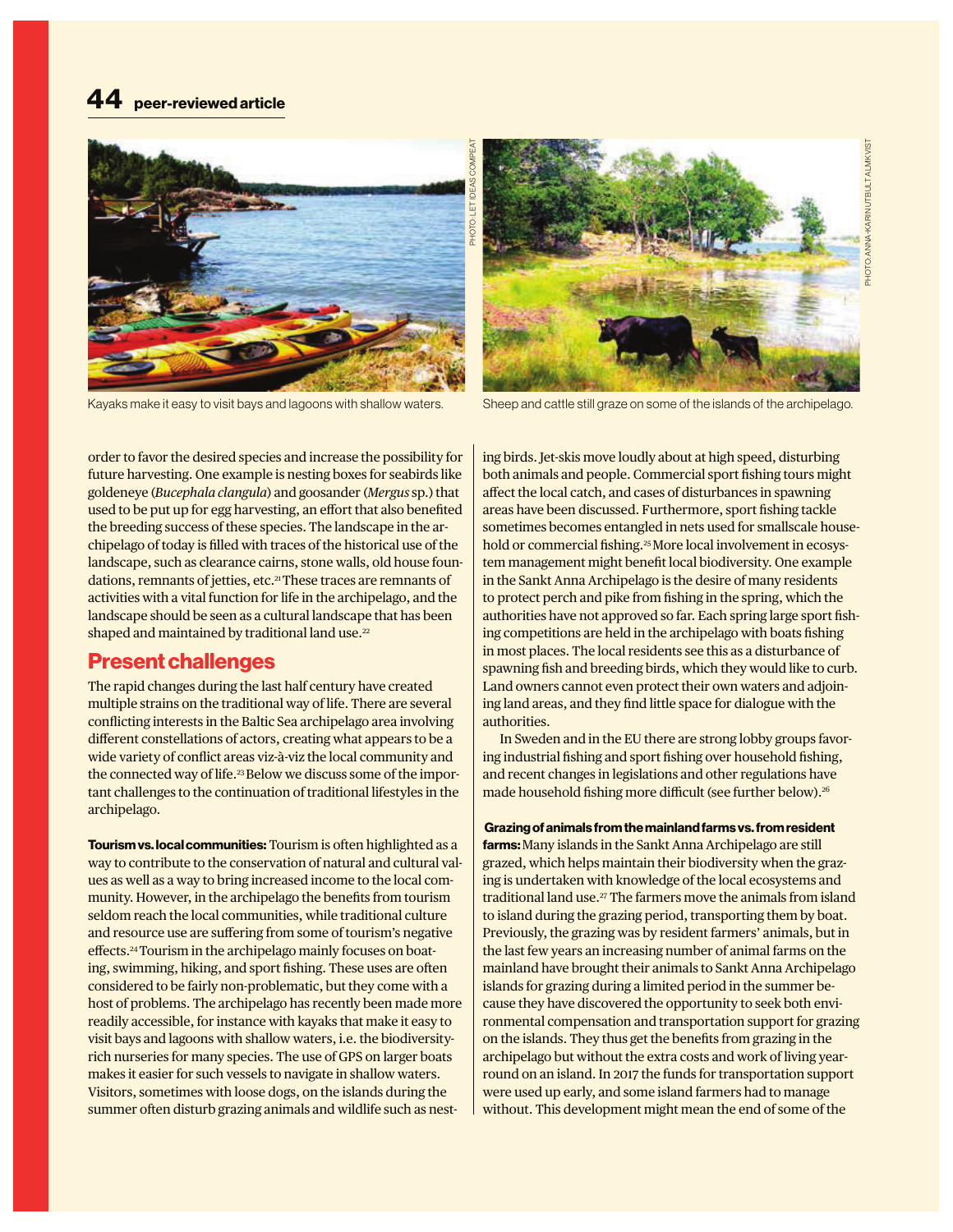

Kayaks make it easy to visit bays and lagoons with shallow waters. Sheep and cattle still graze on some of the islands of the archipelago.



order to favor the desired species and increase the possibility for future harvesting. One example is nesting boxes for seabirds like goldeneye (*Bucephala clangula*) and goosander (*Mergus* sp*.*) that used to be put up for egg harvesting, an effort that also benefited the breeding success of these species. The landscape in the archipelago of today is filled with traces of the historical use of the landscape, such as clearance cairns, stone walls, old house foundations, remnants of jetties, etc.<sup>21</sup> These traces are remnants of activities with a vital function for life in the archipelago, and the landscape should be seen as a cultural landscape that has been shaped and maintained by traditional land use.<sup>22</sup>

## **Present challenges**

The rapid changes during the last half century have created multiple strains on the traditional way of life. There are several conflicting interests in the Baltic Sea archipelago area involving different constellations of actors, creating what appears to be a wide variety of conflict areas viz-à-viz the local community and the connected way of life.<sup>23</sup> Below we discuss some of the important challenges to the continuation of traditional lifestyles in the archipelago.

**Tourism vs. local communities:** Tourism is often highlighted as a way to contribute to the conservation of natural and cultural values as well as a way to bring increased income to the local community. However, in the archipelago the benefits from tourism seldom reach the local communities, while traditional culture and resource use are suffering from some of tourism's negative effects.<sup>24</sup> Tourism in the archipelago mainly focuses on boating, swimming, hiking, and sport fishing. These uses are often considered to be fairly non-problematic, but they come with a host of problems. The archipelago has recently been made more readily accessible, for instance with kayaks that make it easy to visit bays and lagoons with shallow waters, i.e. the biodiversityrich nurseries for many species. The use of GPS on larger boats makes it easier for such vessels to navigate in shallow waters. Visitors, sometimes with loose dogs, on the islands during the summer often disturb grazing animals and wildlife such as nesting birds. Jet-skis move loudly about at high speed, disturbing both animals and people. Commercial sport fishing tours might affect the local catch, and cases of disturbances in spawning areas have been discussed. Furthermore, sport fishing tackle sometimes becomes entangled in nets used for smallscale household or commercial fishing.<sup>25</sup> More local involvement in ecosystem management might benefit local biodiversity. One example in the Sankt Anna Archipelago is the desire of many residents to protect perch and pike from fishing in the spring, which the authorities have not approved so far. Each spring large sport fishing competitions are held in the archipelago with boats fishing in most places. The local residents see this as a disturbance of spawning fish and breeding birds, which they would like to curb. Land owners cannot even protect their own waters and adjoining land areas, and they find little space for dialogue with the authorities.

In Sweden and in the EU there are strong lobby groups favoring industrial fishing and sport fishing over household fishing, and recent changes in legislations and other regulations have made household fishing more difficult (see further below).<sup>26</sup>

#### **Grazing of animals from the mainland farms vs. from resident**

**farms:** Many islands in the Sankt Anna Archipelago are still grazed, which helps maintain their biodiversity when the grazing is undertaken with knowledge of the local ecosystems and traditional land use.27 The farmers move the animals from island to island during the grazing period, transporting them by boat. Previously, the grazing was by resident farmers' animals, but in the last few years an increasing number of animal farms on the mainland have brought their animals to Sankt Anna Archipelago islands for grazing during a limited period in the summer because they have discovered the opportunity to seek both environmental compensation and transportation support for grazing on the islands. They thus get the benefits from grazing in the archipelago but without the extra costs and work of living yearround on an island. In 2017 the funds for transportation support were used up early, and some island farmers had to manage without. This development might mean the end of some of the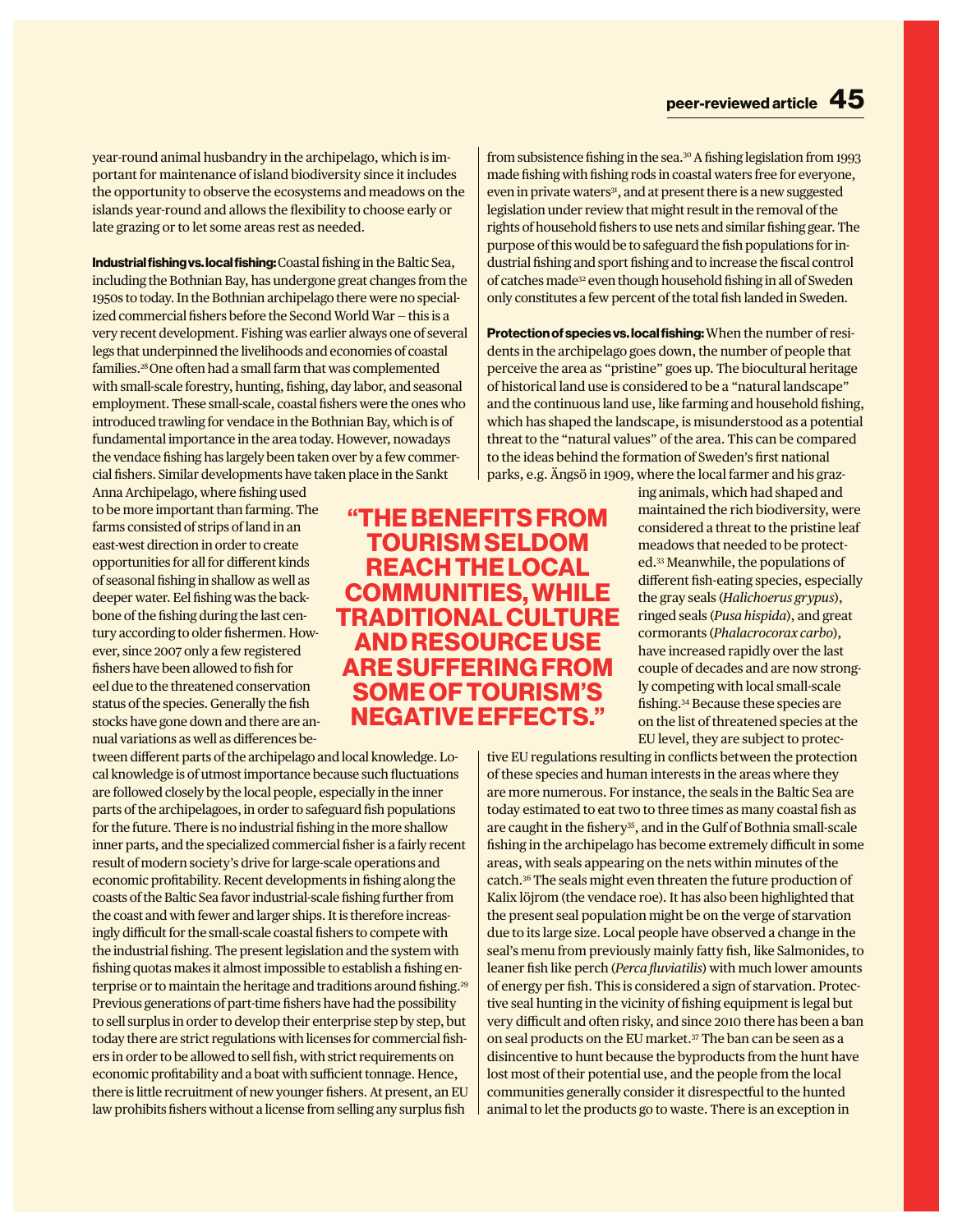year-round animal husbandry in the archipelago, which is important for maintenance of island biodiversity since it includes the opportunity to observe the ecosystems and meadows on the islands year-round and allows the flexibility to choose early or late grazing or to let some areas rest as needed.

**Industrial fishing vs. local fishing:** Coastal fishing in the Baltic Sea, including the Bothnian Bay, has undergone great changes from the 1950s to today. In the Bothnian archipelago there were no specialized commercial fishers before the Second World War — this is a very recent development. Fishing was earlier always one of several legs that underpinned the livelihoods and economies of coastal families.28 One often had a small farm that was complemented with small-scale forestry, hunting, fishing, day labor, and seasonal employment. These small-scale, coastal fishers were the ones who introduced trawling for vendace in the Bothnian Bay, which is of fundamental importance in the area today. However, nowadays the vendace fishing has largely been taken over by a few commercial fishers. Similar developments have taken place in the Sankt

Anna Archipelago, where fishing used to be more important than farming. The farms consisted of strips of land in an east-west direction in order to create opportunities for all for different kinds of seasonal fishing in shallow as well as deeper water. Eel fishing was the backbone of the fishing during the last century according to older fishermen. However, since 2007 only a few registered fishers have been allowed to fish for eel due to the threatened conservation status of the species. Generally the fish stocks have gone down and there are annual variations as well as differences be-

tween different parts of the archipelago and local knowledge. Local knowledge is of utmost importance because such fluctuations are followed closely by the local people, especially in the inner parts of the archipelagoes, in order to safeguard fish populations for the future. There is no industrial fishing in the more shallow inner parts, and the specialized commercial fisher is a fairly recent result of modern society's drive for large-scale operations and economic profitability. Recent developments in fishing along the coasts of the Baltic Sea favor industrial-scale fishing further from the coast and with fewer and larger ships. It is therefore increasingly difficult for the small-scale coastal fishers to compete with the industrial fishing. The present legislation and the system with fishing quotas makes it almost impossible to establish a fishing enterprise or to maintain the heritage and traditions around fishing.<sup>29</sup> Previous generations of part-time fishers have had the possibility to sell surplus in order to develop their enterprise step by step, but today there are strict regulations with licenses for commercial fishers in order to be allowed to sell fish, with strict requirements on economic profitability and a boat with sufficient tonnage. Hence, there is little recruitment of new younger fishers. At present, an EU law prohibits fishers without a license from selling any surplus fish

from subsistence fishing in the sea.<sup>30</sup> A fishing legislation from 1993 made fishing with fishing rods in coastal waters free for everyone, even in private waters<sup>31</sup>, and at present there is a new suggested legislation under review that might result in the removal of the rights of household fishers to use nets and similar fishing gear. The purpose of this would be to safeguard the fish populations for industrial fishing and sport fishing and to increase the fiscal control of catches made32 even though household fishing in all of Sweden only constitutes a few percent of the total fish landed in Sweden.

**Protection of species vs. local fishing:** When the number of residents in the archipelago goes down, the number of people that perceive the area as "pristine" goes up. The biocultural heritage of historical land use is considered to be a "natural landscape" and the continuous land use, like farming and household fishing, which has shaped the landscape, is misunderstood as a potential threat to the "natural values" of the area. This can be compared to the ideas behind the formation of Sweden's first national parks, e.g. Ängsö in 1909, where the local farmer and his graz-

> ing animals, which had shaped and maintained the rich biodiversity, were considered a threat to the pristine leaf meadows that needed to be protected.33 Meanwhile, the populations of different fish-eating species, especially the gray seals (*Halichoerus grypus*), ringed seals (*Pusa hispida*), and great cormorants (*Phalacrocorax carbo*), have increased rapidly over the last couple of decades and are now strongly competing with local small-scale fishing.34 Because these species are on the list of threatened species at the EU level, they are subject to protec-

tive EU regulations resulting in conflicts between the protection of these species and human interests in the areas where they are more numerous. For instance, the seals in the Baltic Sea are today estimated to eat two to three times as many coastal fish as are caught in the fishery<sup>35</sup>, and in the Gulf of Bothnia small-scale fishing in the archipelago has become extremely difficult in some areas, with seals appearing on the nets within minutes of the catch.36 The seals might even threaten the future production of Kalix löjrom (the vendace roe). It has also been highlighted that the present seal population might be on the verge of starvation due to its large size. Local people have observed a change in the seal's menu from previously mainly fatty fish, like Salmonides, to leaner fish like perch (*Perca fluviatilis*) with much lower amounts of energy per fish. This is considered a sign of starvation. Protective seal hunting in the vicinity of fishing equipment is legal but very difficult and often risky, and since 2010 there has been a ban on seal products on the EU market.<sup>37</sup> The ban can be seen as a disincentive to hunt because the byproducts from the hunt have lost most of their potential use, and the people from the local communities generally consider it disrespectful to the hunted animal to let the products go to waste. There is an exception in

# **"THE BENEFITS FROM TOURISM SELDOM REACH THE LOCAL COMMUNITIES, WHILE TRADITIONAL CULTURE AND RESOURCE USE ARE SUFFERING FROM SOME OF TOURISM'S NEGATIVE EFFECTS."**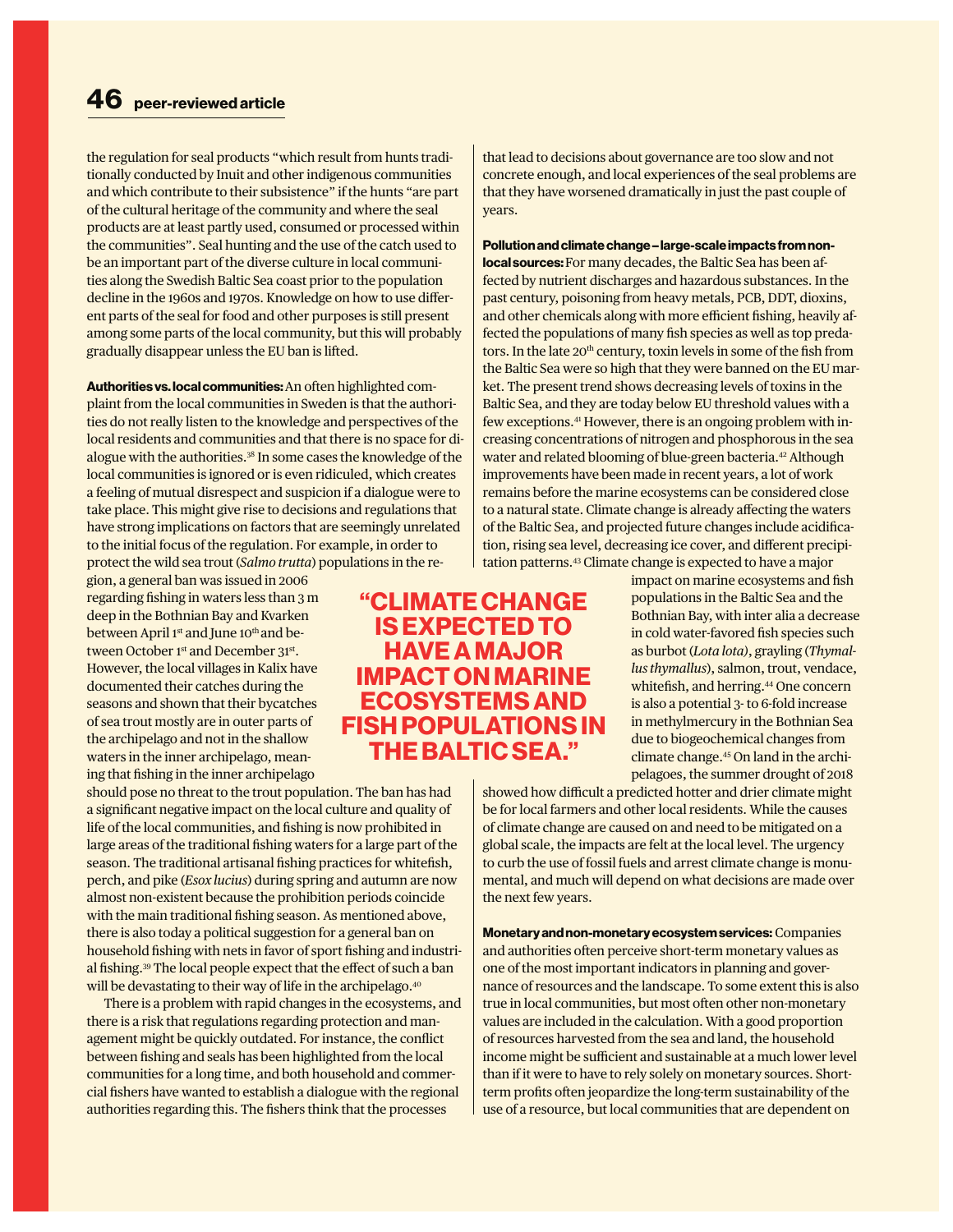the regulation for seal products "which result from hunts traditionally conducted by Inuit and other indigenous communities and which contribute to their subsistence" if the hunts "are part of the cultural heritage of the community and where the seal products are at least partly used, consumed or processed within the communities". Seal hunting and the use of the catch used to be an important part of the diverse culture in local communities along the Swedish Baltic Sea coast prior to the population decline in the 1960s and 1970s. Knowledge on how to use different parts of the seal for food and other purposes is still present among some parts of the local community, but this will probably gradually disappear unless the EU ban is lifted.

**Authorities vs. local communities:** An often highlighted complaint from the local communities in Sweden is that the authorities do not really listen to the knowledge and perspectives of the local residents and communities and that there is no space for dialogue with the authorities.38 In some cases the knowledge of the local communities is ignored or is even ridiculed, which creates a feeling of mutual disrespect and suspicion if a dialogue were to take place. This might give rise to decisions and regulations that have strong implications on factors that are seemingly unrelated to the initial focus of the regulation. For example, in order to protect the wild sea trout (*Salmo trutta*) populations in the re-

gion, a general ban was issued in 2006 regarding fishing in waters less than 3 m deep in the Bothnian Bay and Kvarken between April 1<sup>st</sup> and June 10<sup>th</sup> and between October 1st and December 31st. However, the local villages in Kalix have documented their catches during the seasons and shown that their bycatches of sea trout mostly are in outer parts of the archipelago and not in the shallow waters in the inner archipelago, meaning that fishing in the inner archipelago

should pose no threat to the trout population. The ban has had a significant negative impact on the local culture and quality of life of the local communities, and fishing is now prohibited in large areas of the traditional fishing waters for a large part of the season. The traditional artisanal fishing practices for whitefish, perch, and pike (*Esox lucius*) during spring and autumn are now almost non-existent because the prohibition periods coincide with the main traditional fishing season. As mentioned above, there is also today a political suggestion for a general ban on household fishing with nets in favor of sport fishing and industrial fishing.39 The local people expect that the effect of such a ban will be devastating to their way of life in the archipelago.<sup>40</sup>

There is a problem with rapid changes in the ecosystems, and there is a risk that regulations regarding protection and management might be quickly outdated. For instance, the conflict between fishing and seals has been highlighted from the local communities for a long time, and both household and commercial fishers have wanted to establish a dialogue with the regional authorities regarding this. The fishers think that the processes

that lead to decisions about governance are too slow and not concrete enough, and local experiences of the seal problems are that they have worsened dramatically in just the past couple of years.

**Pollution and climate change – large-scale impacts from nonlocal sources:** For many decades, the Baltic Sea has been affected by nutrient discharges and hazardous substances. In the past century, poisoning from heavy metals, PCB, DDT, dioxins, and other chemicals along with more efficient fishing, heavily affected the populations of many fish species as well as top predators. In the late 20<sup>th</sup> century, toxin levels in some of the fish from the Baltic Sea were so high that they were banned on the EU market. The present trend shows decreasing levels of toxins in the Baltic Sea, and they are today below EU threshold values with a few exceptions.41 However, there is an ongoing problem with increasing concentrations of nitrogen and phosphorous in the sea water and related blooming of blue-green bacteria.<sup>42</sup> Although improvements have been made in recent years, a lot of work remains before the marine ecosystems can be considered close to a natural state. Climate change is already affecting the waters of the Baltic Sea, and projected future changes include acidification, rising sea level, decreasing ice cover, and different precipitation patterns.43 Climate change is expected to have a major

impact on marine ecosystems and fish populations in the Baltic Sea and the Bothnian Bay, with inter alia a decrease in cold water-favored fish species such as burbot (*Lota lota)*, grayling (*Thymallus thymallus*), salmon, trout, vendace, whitefish, and herring.<sup>44</sup> One concern is also a potential 3- to 6-fold increase in methylmercury in the Bothnian Sea due to biogeochemical changes from climate change.45 On land in the archipelagoes, the summer drought of 2018

showed how difficult a predicted hotter and drier climate might be for local farmers and other local residents. While the causes of climate change are caused on and need to be mitigated on a global scale, the impacts are felt at the local level. The urgency to curb the use of fossil fuels and arrest climate change is monumental, and much will depend on what decisions are made over the next few years.

**Monetary and non-monetary ecosystem services:** Companies and authorities often perceive short-term monetary values as one of the most important indicators in planning and governance of resources and the landscape. To some extent this is also true in local communities, but most often other non-monetary values are included in the calculation. With a good proportion of resources harvested from the sea and land, the household income might be sufficient and sustainable at a much lower level than if it were to have to rely solely on monetary sources. Shortterm profits often jeopardize the long-term sustainability of the use of a resource, but local communities that are dependent on

**"CLIMATE CHANGE IS EXPECTED TO HAVE A MAJOR IMPACT ON MARINE ECOSYSTEMS AND FISH POPULATIONS IN THE BALTIC SEA."**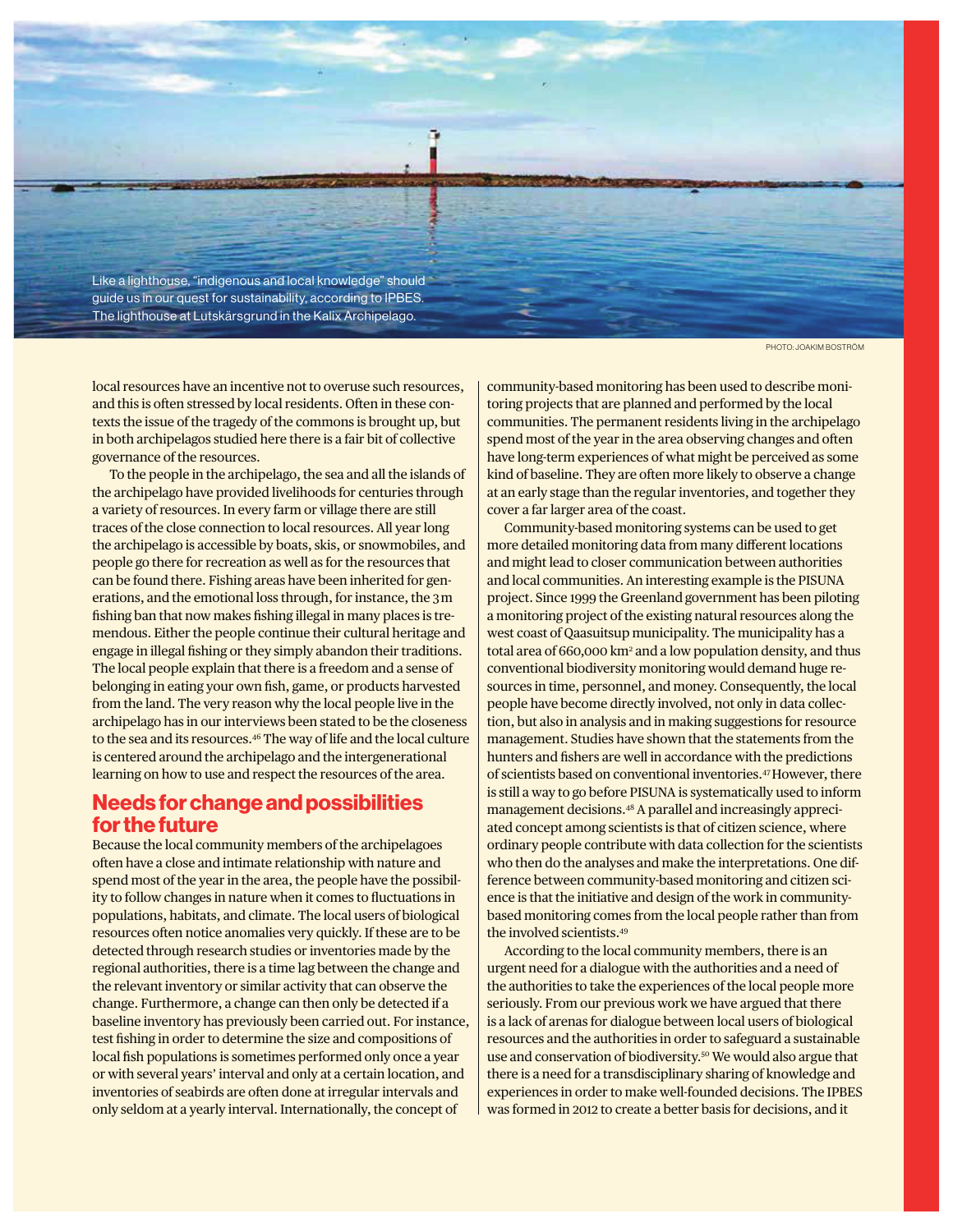

local resources have an incentive not to overuse such resources, and this is often stressed by local residents. Often in these contexts the issue of the tragedy of the commons is brought up, but in both archipelagos studied here there is a fair bit of collective governance of the resources.

To the people in the archipelago, the sea and all the islands of the archipelago have provided livelihoods for centuries through a variety of resources. In every farm or village there are still traces of the close connection to local resources. All year long the archipelago is accessible by boats, skis, or snowmobiles, and people go there for recreation as well as for the resources that can be found there. Fishing areas have been inherited for generations, and the emotional loss through, for instance, the 3 m fishing ban that now makes fishing illegal in many places is tremendous. Either the people continue their cultural heritage and engage in illegal fishing or they simply abandon their traditions. The local people explain that there is a freedom and a sense of belonging in eating your own fish, game, or products harvested from the land. The very reason why the local people live in the archipelago has in our interviews been stated to be the closeness to the sea and its resources.46 The way of life and the local culture is centered around the archipelago and the intergenerational learning on how to use and respect the resources of the area.

## **Needs for change and possibilities for the future**

Because the local community members of the archipelagoes often have a close and intimate relationship with nature and spend most of the year in the area, the people have the possibility to follow changes in nature when it comes to fluctuations in populations, habitats, and climate. The local users of biological resources often notice anomalies very quickly. If these are to be detected through research studies or inventories made by the regional authorities, there is a time lag between the change and the relevant inventory or similar activity that can observe the change. Furthermore, a change can then only be detected if a baseline inventory has previously been carried out. For instance, test fishing in order to determine the size and compositions of local fish populations is sometimes performed only once a year or with several years' interval and only at a certain location, and inventories of seabirds are often done at irregular intervals and only seldom at a yearly interval. Internationally, the concept of

PHOTO: JOAKIM BOSTRÖM

community-based monitoring has been used to describe monitoring projects that are planned and performed by the local communities. The permanent residents living in the archipelago spend most of the year in the area observing changes and often have long-term experiences of what might be perceived as some kind of baseline. They are often more likely to observe a change at an early stage than the regular inventories, and together they cover a far larger area of the coast.

Community-based monitoring systems can be used to get more detailed monitoring data from many different locations and might lead to closer communication between authorities and local communities. An interesting example is the PISUNA project. Since 1999 the Greenland government has been piloting a monitoring project of the existing natural resources along the west coast of Qaasuitsup municipality. The municipality has a total area of 660,000 km2 and a low population density, and thus conventional biodiversity monitoring would demand huge resources in time, personnel, and money. Consequently, the local people have become directly involved, not only in data collection, but also in analysis and in making suggestions for resource management. Studies have shown that the statements from the hunters and fishers are well in accordance with the predictions of scientists based on conventional inventories.47 However, there is still a way to go before PISUNA is systematically used to inform management decisions.48 A parallel and increasingly appreciated concept among scientists is that of citizen science, where ordinary people contribute with data collection for the scientists who then do the analyses and make the interpretations. One difference between community-based monitoring and citizen science is that the initiative and design of the work in communitybased monitoring comes from the local people rather than from the involved scientists.49

According to the local community members, there is an urgent need for a dialogue with the authorities and a need of the authorities to take the experiences of the local people more seriously. From our previous work we have argued that there is a lack of arenas for dialogue between local users of biological resources and the authorities in order to safeguard a sustainable use and conservation of biodiversity.<sup>50</sup> We would also argue that there is a need for a transdisciplinary sharing of knowledge and experiences in order to make well-founded decisions. The IPBES was formed in 2012 to create a better basis for decisions, and it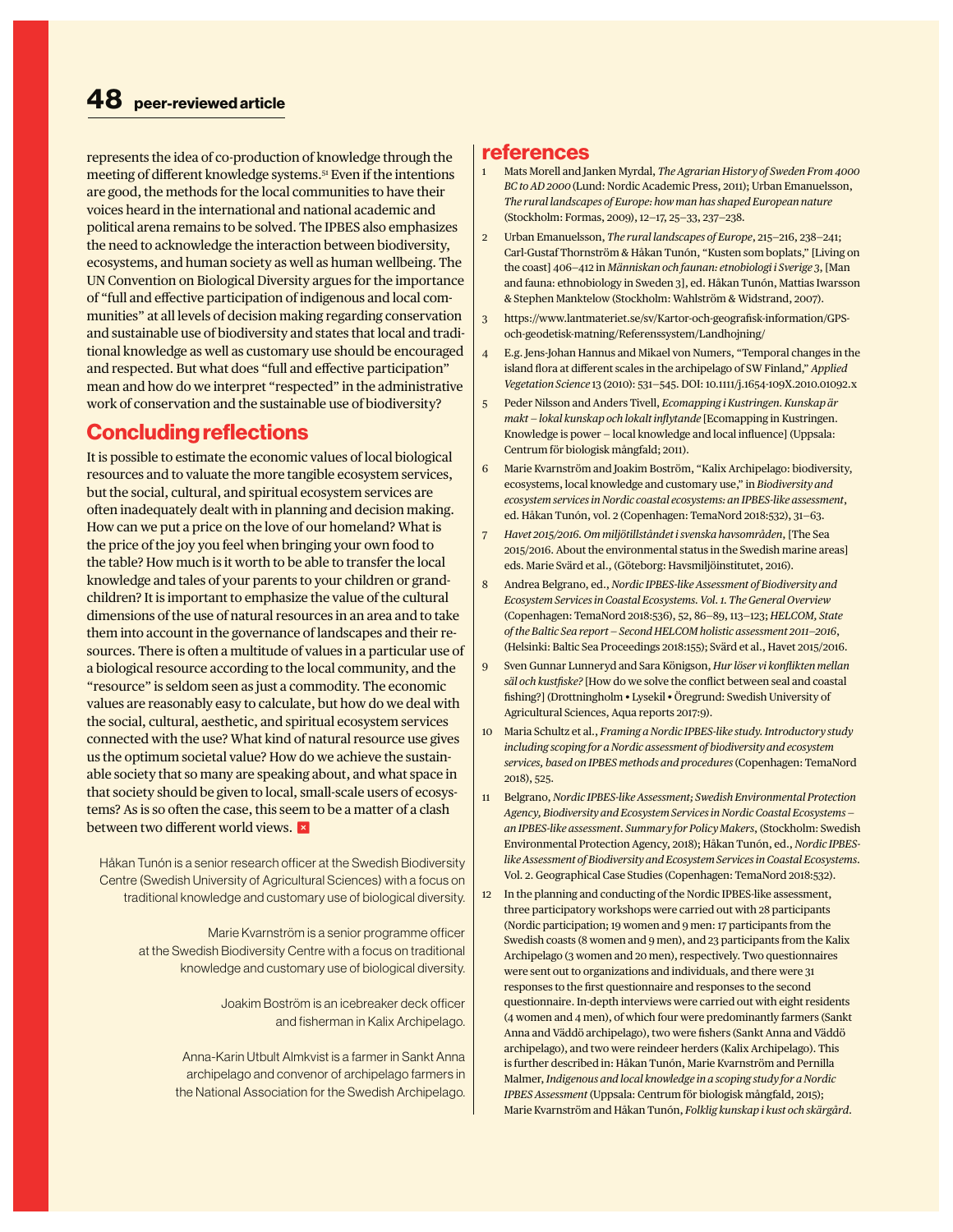represents the idea of co-production of knowledge through the meeting of different knowledge systems.51 Even if the intentions are good, the methods for the local communities to have their voices heard in the international and national academic and political arena remains to be solved. The IPBES also emphasizes the need to acknowledge the interaction between biodiversity, ecosystems, and human society as well as human wellbeing. The UN Convention on Biological Diversity argues for the importance of "full and effective participation of indigenous and local communities" at all levels of decision making regarding conservation and sustainable use of biodiversity and states that local and traditional knowledge as well as customary use should be encouraged and respected. But what does "full and effective participation" mean and how do we interpret "respected" in the administrative work of conservation and the sustainable use of biodiversity?

# **Concluding reflections**

It is possible to estimate the economic values of local biological resources and to valuate the more tangible ecosystem services, but the social, cultural, and spiritual ecosystem services are often inadequately dealt with in planning and decision making. How can we put a price on the love of our homeland? What is the price of the joy you feel when bringing your own food to the table? How much is it worth to be able to transfer the local knowledge and tales of your parents to your children or grandchildren? It is important to emphasize the value of the cultural dimensions of the use of natural resources in an area and to take them into account in the governance of landscapes and their resources. There is often a multitude of values in a particular use of a biological resource according to the local community, and the "resource" is seldom seen as just a commodity. The economic values are reasonably easy to calculate, but how do we deal with the social, cultural, aesthetic, and spiritual ecosystem services connected with the use? What kind of natural resource use gives us the optimum societal value? How do we achieve the sustainable society that so many are speaking about, and what space in that society should be given to local, small-scale users of ecosystems? As is so often the case, this seem to be a matter of a clash between two different world views. **×** 

Håkan Tunón is a senior research officer at the Swedish Biodiversity Centre (Swedish University of Agricultural Sciences) with a focus on traditional knowledge and customary use of biological diversity.

> Marie Kvarnström is a senior programme officer at the Swedish Biodiversity Centre with a focus on traditional knowledge and customary use of biological diversity.

> > Joakim Boström is an icebreaker deck officer and fisherman in Kalix Archipelago.

Anna-Karin Utbult Almkvist is a farmer in Sankt Anna archipelago and convenor of archipelago farmers in the National Association for the Swedish Archipelago.

#### **references**

- 1 Mats Morell and Janken Myrdal, *The Agrarian History of Sweden From 4000 BC to AD 2000* (Lund: Nordic Academic Press, 2011); Urban Emanuelsson, *The rural landscapes of Europe: how man has shaped European nature*  (Stockholm: Formas, 2009), 12—17, 25—33, 237—238.
- 2 Urban Emanuelsson, *The rural landscapes of Europe*, 215—216, 238—241; Carl-Gustaf Thornström & Håkan Tunón, "Kusten som boplats," [Living on the coast] 406—412 in *Människan och faunan: etnobiologi i Sverige 3*, [Man and fauna: ethnobiology in Sweden 3], ed. Håkan Tunón, Mattias Iwarsson & Stephen Manktelow (Stockholm: Wahlström & Widstrand, 2007).
- 3 https://www.lantmateriet.se/sv/Kartor-och-geografisk-information/GPSoch-geodetisk-matning/Referenssystem/Landhojning/
- 4 E.g. Jens-Johan Hannus and Mikael von Numers, "Temporal changes in the island flora at different scales in the archipelago of SW Finland," *Applied Vegetation Science* 13 (2010): 531—545. DOI: 10.1111/j.1654-109X.2010.01092.x
- 5 Peder Nilsson and Anders Tivell, *Ecomapping i Kustringen. Kunskap är makt — lokal kunskap och lokalt inflytande* [Ecomapping in Kustringen. Knowledge is power — local knowledge and local influence] (Uppsala: Centrum för biologisk mångfald; 2011).
- 6 Marie Kvarnström and Joakim Boström, "Kalix Archipelago: biodiversity, ecosystems, local knowledge and customary use," in *Biodiversity and ecosystem services in Nordic coastal ecosystems: an IPBES-like assessment*, ed. Håkan Tunón, vol. 2 (Copenhagen: TemaNord 2018:532), 31—63.
- 7 *Havet 2015/2016. Om miljötillståndet i svenska havsområden*, [The Sea 2015/2016. About the environmental status in the Swedish marine areas] eds. Marie Svärd et al., (Göteborg: Havsmiljöinstitutet, 2016).
- 8 Andrea Belgrano, ed., *Nordic IPBES-like Assessment of Biodiversity and Ecosystem Services in Coastal Ecosystems. Vol. 1. The General Overview*  (Copenhagen: TemaNord 2018:536), 52, 86—89, 113—123; *HELCOM, State of the Baltic Sea report — Second HELCOM holistic assessment 2011—2016*, (Helsinki: Baltic Sea Proceedings 2018:155); Svärd et al., Havet 2015/2016.
- 9 Sven Gunnar Lunneryd and Sara Königson, *Hur löser vi konflikten mellan säl och kustfiske?* [How do we solve the conflict between seal and coastal fishing?] (Drottningholm • Lysekil • Öregrund: Swedish University of Agricultural Sciences, Aqua reports 2017:9).
- 10 Maria Schultz et al., *Framing a Nordic IPBES-like study. Introductory study including scoping for a Nordic assessment of biodiversity and ecosystem services, based on IPBES methods and procedures* (Copenhagen: TemaNord 2018), 525.
- 11 Belgrano, *Nordic IPBES-like Assessment; Swedish Environmental Protection Agency, Biodiversity and Ecosystem Services in Nordic Coastal Ecosystems an IPBES-like assessment. Summary for Policy Makers*, (Stockholm: Swedish Environmental Protection Agency, 2018); Håkan Tunón, ed., *Nordic IPBESlike Assessment of Biodiversity and Ecosystem Services in Coastal Ecosystems*. Vol. 2. Geographical Case Studies (Copenhagen: TemaNord 2018:532).
- 12 In the planning and conducting of the Nordic IPBES-like assessment, three participatory workshops were carried out with 28 participants (Nordic participation; 19 women and 9 men: 17 participants from the Swedish coasts (8 women and 9 men), and 23 participants from the Kalix Archipelago (3 women and 20 men), respectively. Two questionnaires were sent out to organizations and individuals, and there were 31 responses to the first questionnaire and responses to the second questionnaire. In-depth interviews were carried out with eight residents (4 women and 4 men), of which four were predominantly farmers (Sankt Anna and Väddö archipelago), two were fishers (Sankt Anna and Väddö archipelago), and two were reindeer herders (Kalix Archipelago). This is further described in: Håkan Tunón, Marie Kvarnström and Pernilla Malmer, *Indigenous and local knowledge in a scoping study for a Nordic IPBES Assessment* (Uppsala: Centrum för biologisk mångfald, 2015); Marie Kvarnström and Håkan Tunón, *Folklig kunskap i kust och skärgård.*